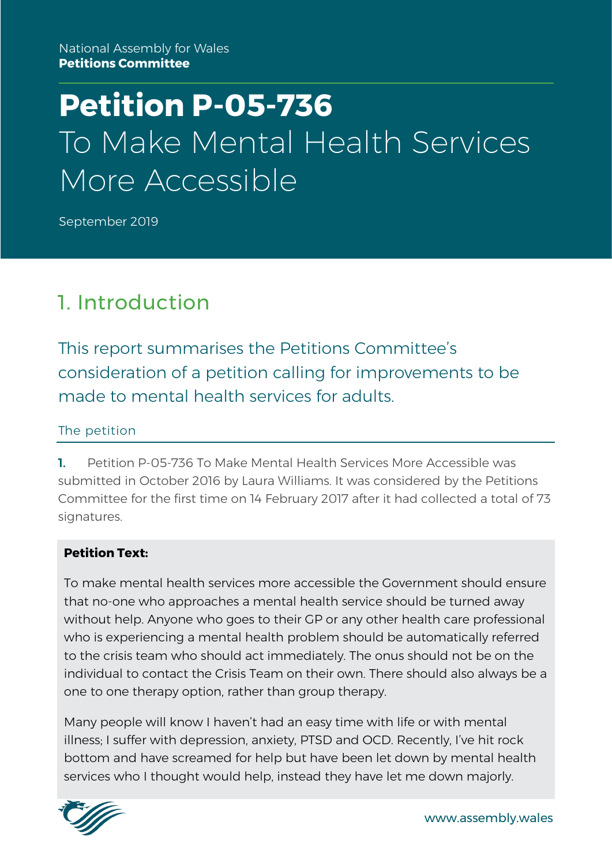# **Petition P-05-736** To Make Mental Health Services More Accessible

September 2019

### 1. Introduction

This report summarises the Petitions Committee's consideration of a petition calling for improvements to be made to mental health services for adults.

#### The petition

1. Petition P-05-736 To Make Mental Health Services More Accessible was submitted in October 2016 by Laura Williams. It was considered by the Petitions Committee for the first time on 14 February 2017 after it had collected a total of 73 signatures.

#### **Petition Text:**

To make mental health services more accessible the Government should ensure that no-one who approaches a mental health service should be turned away without help. Anyone who goes to their GP or any other health care professional who is experiencing a mental health problem should be automatically referred to the crisis team who should act immediately. The onus should not be on the individual to contact the Crisis Team on their own. There should also always be a one to one therapy option, rather than group therapy.

Many people will know I haven't had an easy time with life or with mental illness; I suffer with depression, anxiety, PTSD and OCD. Recently, I've hit rock bottom and have screamed for help but have been let down by mental health services who I thought would help, instead they have let me down majorly.

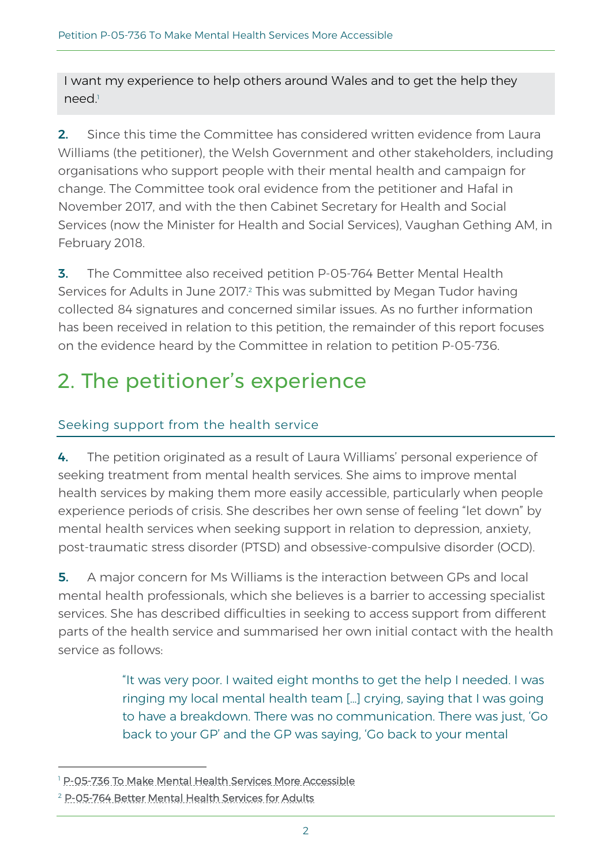I want my experience to help others around Wales and to get the help they need. 1

2. Since this time the Committee has considered written evidence from Laura Williams (the petitioner), the Welsh Government and other stakeholders, including organisations who support people with their mental health and campaign for change. The Committee took oral evidence from the petitioner and Hafal in November 2017, and with the then Cabinet Secretary for Health and Social Services (now the Minister for Health and Social Services), Vaughan Gething AM, in February 2018.

**3.** The Committee also received petition P-05-764 Better Mental Health Services for Adults in June 2017.<sup>2</sup> This was submitted by Megan Tudor having collected 84 signatures and concerned similar issues. As no further information has been received in relation to this petition, the remainder of this report focuses on the evidence heard by the Committee in relation to petition P-05-736.

## 2. The petitioner's experience

#### Seeking support from the health service

4. The petition originated as a result of Laura Williams' personal experience of seeking treatment from mental health services. She aims to improve mental health services by making them more easily accessible, particularly when people experience periods of crisis. She describes her own sense of feeling "let down" by mental health services when seeking support in relation to depression, anxiety, post-traumatic stress disorder (PTSD) and obsessive-compulsive disorder (OCD).

**5.** A major concern for Ms Williams is the interaction between GPs and local mental health professionals, which she believes is a barrier to accessing specialist services. She has described difficulties in seeking to access support from different parts of the health service and summarised her own initial contact with the health service as follows:

> "It was very poor. I waited eight months to get the help I needed. I was ringing my local mental health team […] crying, saying that I was going to have a breakdown. There was no communication. There was just, 'Go back to your GP' and the GP was saying, 'Go back to your mental

<sup>&</sup>lt;sup>1</sup> [P-05-736 To](http://www.senedd.assembly.wales/mgIssueHistoryHome.aspx?IId=19785) Make Mental Health [Services](http://www.senedd.assembly.wales/mgIssueHistoryHome.aspx?IId=17021) More Accessible

<sup>2</sup> [P-05-764 Better Mental Health Services for Adults](http://www.senedd.assembly.wales/mgIssueHistoryHome.aspx?IId=19211)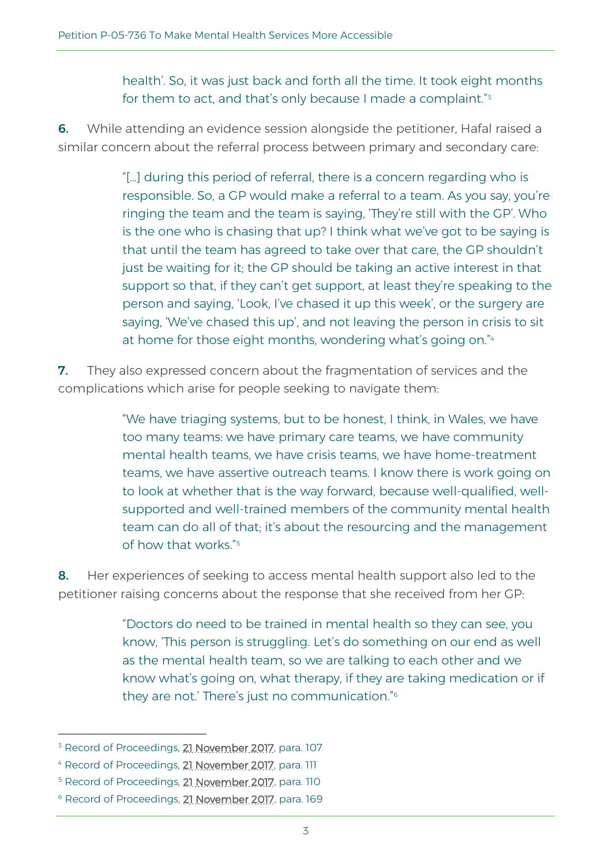health'. So, it was just back and forth all the time. It took eight months for them to act, and that's only because I made a complaint." $\mathrm{^{3}}$ 

6. While attending an evidence session alongside the petitioner, Hafal raised a similar concern about the referral process between primary and secondary care:

> "[…] during this period of referral, there is a concern regarding who is responsible. So, a GP would make a referral to a team. As you say, you're ringing the team and the team is saying, 'They're still with the GP'. Who is the one who is chasing that up? I think what we've got to be saying is that until the team has agreed to take over that care, the GP shouldn't just be waiting for it; the GP should be taking an active interest in that support so that, if they can't get support, at least they're speaking to the person and saying, 'Look, I've chased it up this week', or the surgery are saying, 'We've chased this up', and not leaving the person in crisis to sit at home for those eight months, wondering what's going on." 4

**7.** They also expressed concern about the fragmentation of services and the complications which arise for people seeking to navigate them:

> "We have triaging systems, but to be honest, I think, in Wales, we have too many teams: we have primary care teams, we have community mental health teams, we have crisis teams, we have home-treatment teams, we have assertive outreach teams. I know there is work going on to look at whether that is the way forward, because well-qualified, wellsupported and well-trained members of the community mental health team can do all of that; it's about the resourcing and the management of how that works." 5

8. Her experiences of seeking to access mental health support also led to the petitioner raising concerns about the response that she received from her GP:

> "Doctors do need to be trained in mental health so they can see, you know, 'This person is struggling. Let's do something on our end as well as the mental health team, so we are talking to each other and we know what's going on, what therapy, if they are taking medication or if they are not.' There's just no communication." 6

<sup>&</sup>lt;sup>3</sup> Record of Proceedings, **21 November 2017**, para. 107

<sup>&</sup>lt;sup>4</sup> Record of Proceedings, **21 November 2017**, para. 111

<sup>&</sup>lt;sup>5</sup> Record of Proceedings, **21 November 2017**, para. 110

<sup>&</sup>lt;sup>6</sup> Record of Proceedings, **21 November 2017**, para. 169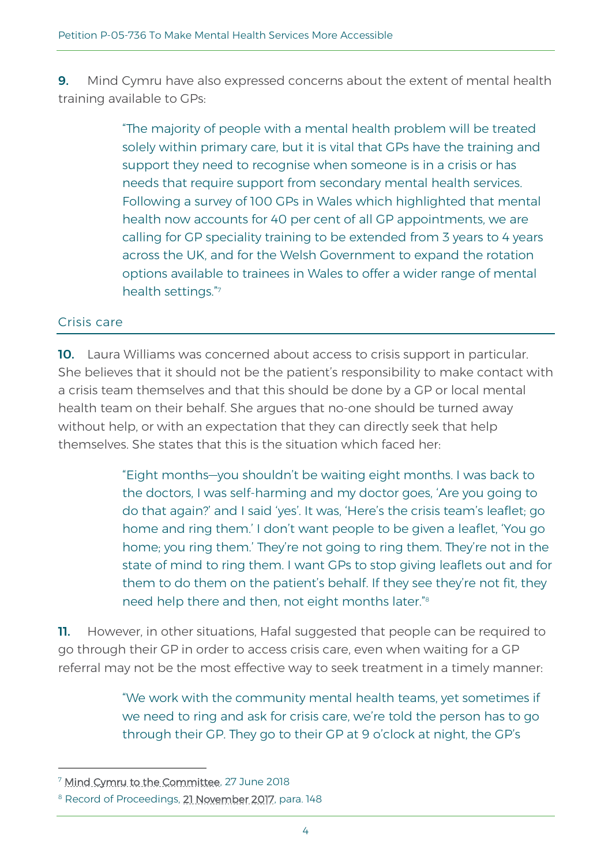**9.** Mind Cymru have also expressed concerns about the extent of mental health training available to GPs:

> "The majority of people with a mental health problem will be treated solely within primary care, but it is vital that GPs have the training and support they need to recognise when someone is in a crisis or has needs that require support from secondary mental health services. Following a survey of 100 GPs in Wales which highlighted that mental health now accounts for 40 per cent of all GP appointments, we are calling for GP speciality training to be extended from 3 years to 4 years across the UK, and for the Welsh Government to expand the rotation options available to trainees in Wales to offer a wider range of mental health settings." 7

#### Crisis care

10. Laura Williams was concerned about access to crisis support in particular. She believes that it should not be the patient's responsibility to make contact with a crisis team themselves and that this should be done by a GP or local mental health team on their behalf. She argues that no-one should be turned away without help, or with an expectation that they can directly seek that help themselves. She states that this is the situation which faced her:

> "Eight months—you shouldn't be waiting eight months. I was back to the doctors, I was self-harming and my doctor goes, 'Are you going to do that again?' and I said 'yes'. It was, 'Here's the crisis team's leaflet; go home and ring them.' I don't want people to be given a leaflet, 'You go home; you ring them.' They're not going to ring them. They're not in the state of mind to ring them. I want GPs to stop giving leaflets out and for them to do them on the patient's behalf. If they see they're not fit, they need help there and then, not eight months later." 8

**11.** However, in other situations, Hafal suggested that people can be required to go through their GP in order to access crisis care, even when waiting for a GP referral may not be the most effective way to seek treatment in a timely manner:

> "We work with the community mental health teams, yet sometimes if we need to ring and ask for crisis care, we're told the person has to go through their GP. They go to their GP at 9 o'clock at night, the GP's

<sup>7</sup> [Mind Cymru to the Committee,](http://www.senedd.assembly.wales/documents/s79186/27.06.17%20Correspondence%20-%20Mind%20Cymru%20to%20the%20Chair.pdf) 27 June 2018

<sup>&</sup>lt;sup>8</sup> Record of Proceedings, **21 November 2017**, para. 148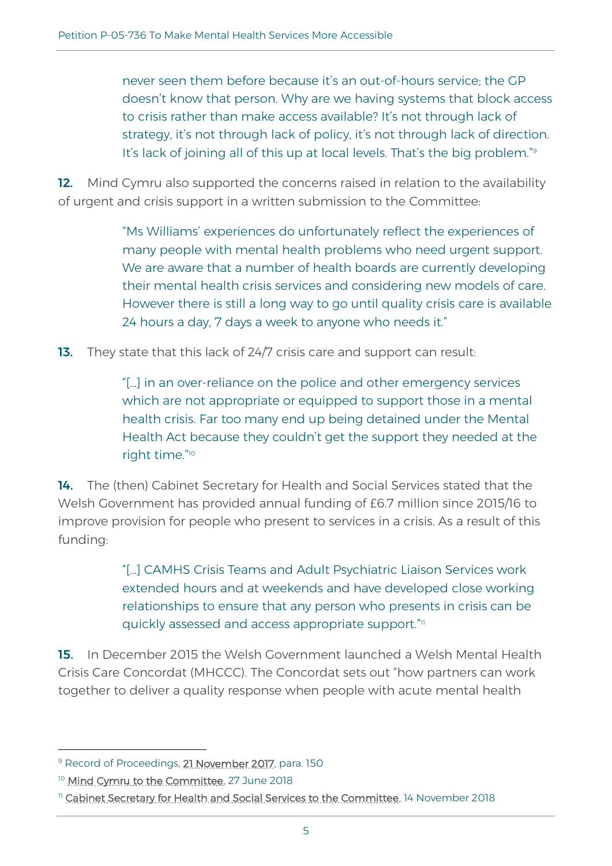never seen them before because it's an out-of-hours service; the GP doesn't know that person. Why are we having systems that block access to crisis rather than make access available? It's not through lack of strategy, it's not through lack of policy, it's not through lack of direction. It's lack of joining all of this up at local levels. That's the big problem."<sup>9</sup>

12. Mind Cymru also supported the concerns raised in relation to the availability of urgent and crisis support in a written submission to the Committee:

> "Ms Williams' experiences do unfortunately reflect the experiences of many people with mental health problems who need urgent support. We are aware that a number of health boards are currently developing their mental health crisis services and considering new models of care. However there is still a long way to go until quality crisis care is available 24 hours a day, 7 days a week to anyone who needs it."

13. They state that this lack of 24/7 crisis care and support can result:

"[…] in an over-reliance on the police and other emergency services which are not appropriate or equipped to support those in a mental health crisis. Far too many end up being detained under the Mental Health Act because they couldn't get the support they needed at the right time." 10

14. The (then) Cabinet Secretary for Health and Social Services stated that the Welsh Government has provided annual funding of £6.7 million since 2015/16 to improve provision for people who present to services in a crisis. As a result of this funding:

> "[…] CAMHS Crisis Teams and Adult Psychiatric Liaison Services work extended hours and at weekends and have developed close working relationships to ensure that any person who presents in crisis can be quickly assessed and access appropriate support." 11

15. In December 2015 the Welsh Government launched a Welsh Mental Health Crisis Care Concordat (MHCCC). The Concordat sets out "how partners can work together to deliver a quality response when people with acute mental health

<sup>9</sup> Record of Proceedings, [21 November 2017,](http://record.assembly.wales/Committee/4368#C36848) para. 150

<sup>&</sup>lt;sup>10</sup> [Mind Cymru to the Committee,](http://www.senedd.assembly.wales/documents/s79186/27.06.17%20Correspondence%20-%20Mind%20Cymru%20to%20the%20Chair.pdf) 27 June 2018

<sup>&</sup>lt;sup>11</sup> [Cabinet Secretary for Health and Social Services to the Committee,](http://www.senedd.assembly.wales/documents/s80928/14.11.18%20Correspondence%20-%20Cabinet%20Secretary%20for%20Health%20and%20Social%20Services%20to%20the%20Chair.pdf) 14 November 2018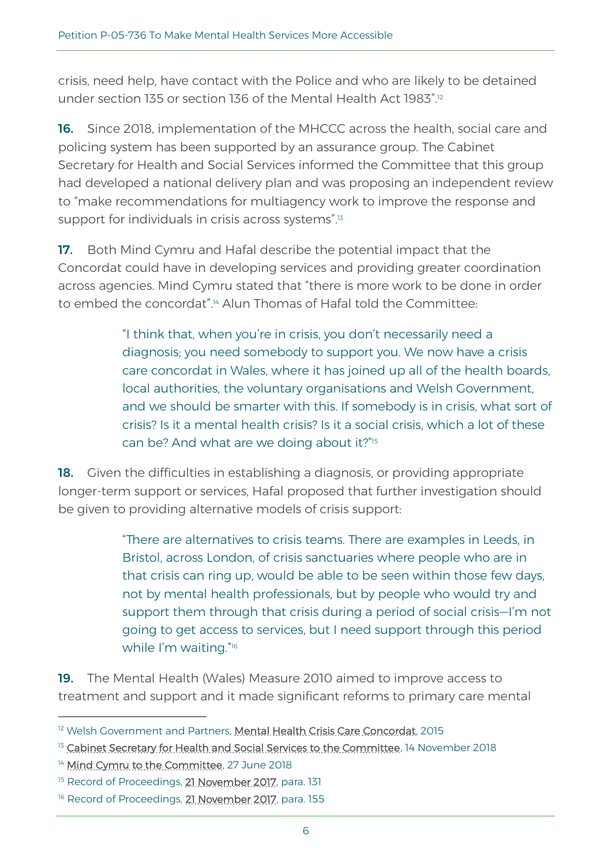crisis, need help, have contact with the Police and who are likely to be detained under section 135 or section 136 of the Mental Health Act 1983".<sup>12</sup>

16. Since 2018, implementation of the MHCCC across the health, social care and policing system has been supported by an assurance group. The Cabinet Secretary for Health and Social Services informed the Committee that this group had developed a national delivery plan and was proposing an independent review to "make recommendations for multiagency work to improve the response and support for individuals in crisis across systems". 13

17. Both Mind Cymru and Hafal describe the potential impact that the Concordat could have in developing services and providing greater coordination across agencies. Mind Cymru stated that "there is more work to be done in order to embed the concordat". <sup>14</sup> Alun Thomas of Hafal told the Committee:

> "I think that, when you're in crisis, you don't necessarily need a diagnosis; you need somebody to support you. We now have a crisis care concordat in Wales, where it has joined up all of the health boards, local authorities, the voluntary organisations and Welsh Government, and we should be smarter with this. If somebody is in crisis, what sort of crisis? Is it a mental health crisis? Is it a social crisis, which a lot of these can be? And what are we doing about it?" 15

18. Given the difficulties in establishing a diagnosis, or providing appropriate longer-term support or services, Hafal proposed that further investigation should be given to providing alternative models of crisis support:

> "There are alternatives to crisis teams. There are examples in Leeds, in Bristol, across London, of crisis sanctuaries where people who are in that crisis can ring up, would be able to be seen within those few days, not by mental health professionals, but by people who would try and support them through that crisis during a period of social crisis—I'm not going to get access to services, but I need support through this period while I'm waiting."16

19. The Mental Health (Wales) Measure 2010 aimed to improve access to treatment and support and it made significant reforms to primary care mental

<sup>&</sup>lt;sup>12</sup> Welsh Government and Partners, [Mental Health Crisis Care Concordat,](https://gweddill.gov.wales/docs/dhss/publications/161109concordaten.pdf) 2015

<sup>&</sup>lt;sup>13</sup> [Cabinet Secretary for Health and Social Services to the Committee,](http://www.senedd.assembly.wales/documents/s80928/14.11.18%20Correspondence%20-%20Cabinet%20Secretary%20for%20Health%20and%20Social%20Services%20to%20the%20Chair.pdf) 14 November 2018

<sup>&</sup>lt;sup>14</sup> [Mind Cymru to the Committee,](http://www.senedd.assembly.wales/documents/s79186/27.06.17%20Correspondence%20-%20Mind%20Cymru%20to%20the%20Chair.pdf) 27 June 2018

<sup>&</sup>lt;sup>15</sup> Record of Proceedings, **21 November 2017**, para. 131

<sup>&</sup>lt;sup>16</sup> Record of Proceedings, **21 November 2017**, para. 155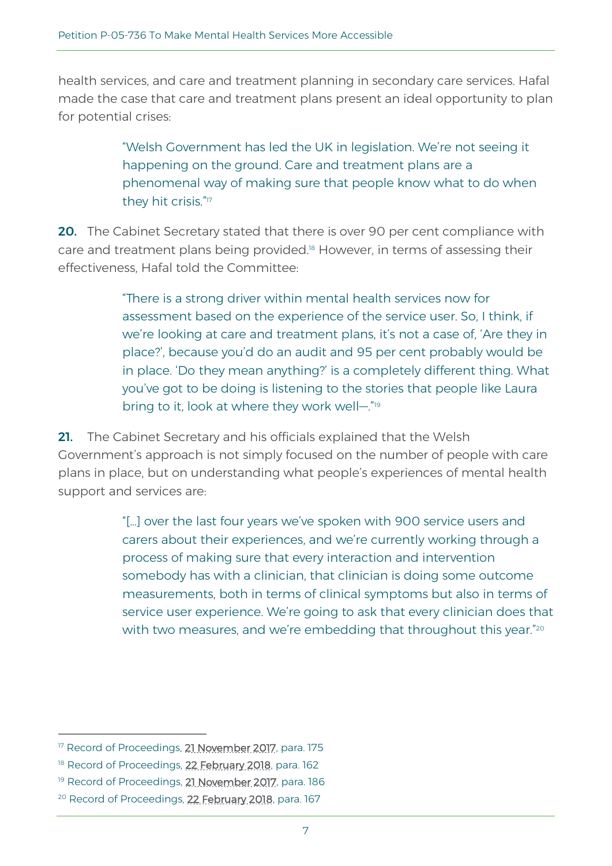health services, and care and treatment planning in secondary care services. Hafal made the case that care and treatment plans present an ideal opportunity to plan for potential crises:

> "Welsh Government has led the UK in legislation. We're not seeing it happening on the ground. Care and treatment plans are a phenomenal way of making sure that people know what to do when they hit crisis." 17

20. The Cabinet Secretary stated that there is over 90 per cent compliance with care and treatment plans being provided.<sup>18</sup> However, in terms of assessing their effectiveness, Hafal told the Committee:

> "There is a strong driver within mental health services now for assessment based on the experience of the service user. So, I think, if we're looking at care and treatment plans, it's not a case of, 'Are they in place?', because you'd do an audit and 95 per cent probably would be in place. 'Do they mean anything?' is a completely different thing. What you've got to be doing is listening to the stories that people like Laura bring to it, look at where they work well-."<sup>19</sup>

21. The Cabinet Secretary and his officials explained that the Welsh Government's approach is not simply focused on the number of people with care plans in place, but on understanding what people's experiences of mental health support and services are:

> "[…] over the last four years we've spoken with 900 service users and carers about their experiences, and we're currently working through a process of making sure that every interaction and intervention somebody has with a clinician, that clinician is doing some outcome measurements, both in terms of clinical symptoms but also in terms of service user experience. We're going to ask that every clinician does that with two measures, and we're embedding that throughout this year." $^\mathrm{2C}$

<sup>&</sup>lt;sup>17</sup> Record of Proceedings, **21 November 2017**, para. 175

<sup>&</sup>lt;sup>18</sup> Record of Proceedings, **22 February 2018**, para. 162

<sup>&</sup>lt;sup>19</sup> Record of Proceedings, **21 November 2017**, para. 186

<sup>&</sup>lt;sup>20</sup> Record of Proceedings, **22 February 2018**, para. 167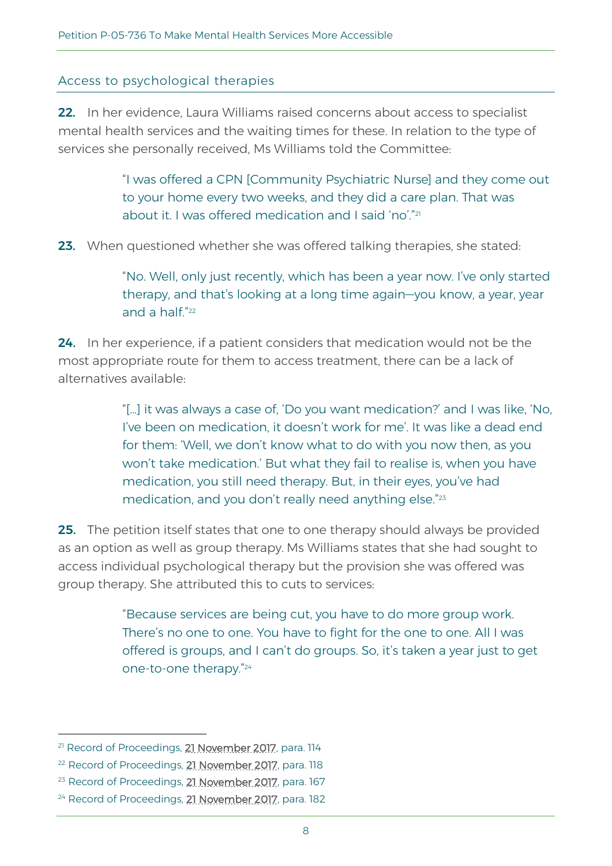#### Access to psychological therapies

22. In her evidence, Laura Williams raised concerns about access to specialist mental health services and the waiting times for these. In relation to the type of services she personally received, Ms Williams told the Committee:

> "I was offered a CPN [Community Psychiatric Nurse] and they come out to your home every two weeks, and they did a care plan. That was about it. I was offered medication and I said 'no'." 21

23. When questioned whether she was offered talking therapies, she stated:

"No. Well, only just recently, which has been a year now. I've only started therapy, and that's looking at a long time again—you know, a year, year and a half."<sup>22</sup>

24. In her experience, if a patient considers that medication would not be the most appropriate route for them to access treatment, there can be a lack of alternatives available:

> "[…] it was always a case of, 'Do you want medication?' and I was like, 'No, I've been on medication, it doesn't work for me'. It was like a dead end for them: 'Well, we don't know what to do with you now then, as you won't take medication.' But what they fail to realise is, when you have medication, you still need therapy. But, in their eyes, you've had medication, and you don't really need anything else."<sup>23</sup>

**25.** The petition itself states that one to one therapy should always be provided as an option as well as group therapy. Ms Williams states that she had sought to access individual psychological therapy but the provision she was offered was group therapy. She attributed this to cuts to services:

> "Because services are being cut, you have to do more group work. There's no one to one. You have to fight for the one to one. All I was offered is groups, and I can't do groups. So, it's taken a year just to get one-to-one therapy." 24

<sup>&</sup>lt;sup>21</sup> Record of Proceedings, **21 November 2017**, para. 114

<sup>&</sup>lt;sup>22</sup> Record of Proceedings, **21 November 2017**, para. 118

<sup>&</sup>lt;sup>23</sup> Record of Proceedings, **21 November 2017**, para. 167

<sup>&</sup>lt;sup>24</sup> Record of Proceedings, **21 November 2017**, para. 182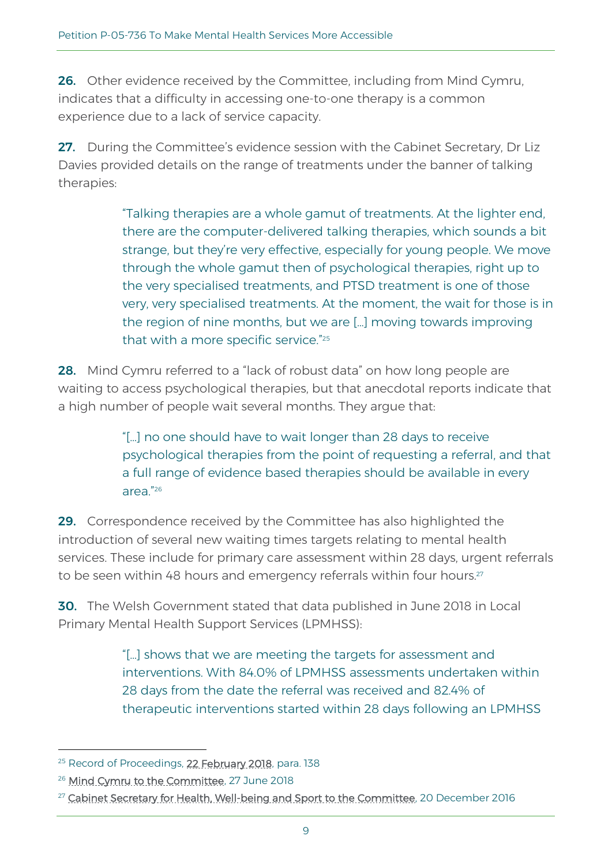26. Other evidence received by the Committee, including from Mind Cymru, indicates that a difficulty in accessing one-to-one therapy is a common experience due to a lack of service capacity.

27. During the Committee's evidence session with the Cabinet Secretary, Dr Liz Davies provided details on the range of treatments under the banner of talking therapies:

> "Talking therapies are a whole gamut of treatments. At the lighter end, there are the computer-delivered talking therapies, which sounds a bit strange, but they're very effective, especially for young people. We move through the whole gamut then of psychological therapies, right up to the very specialised treatments, and PTSD treatment is one of those very, very specialised treatments. At the moment, the wait for those is in the region of nine months, but we are […] moving towards improving that with a more specific service." 25

28. Mind Cymru referred to a "lack of robust data" on how long people are waiting to access psychological therapies, but that anecdotal reports indicate that a high number of people wait several months. They argue that:

> "[…] no one should have to wait longer than 28 days to receive psychological therapies from the point of requesting a referral, and that a full range of evidence based therapies should be available in every area." 26

29. Correspondence received by the Committee has also highlighted the introduction of several new waiting times targets relating to mental health services. These include for primary care assessment within 28 days, urgent referrals to be seen within 48 hours and emergency referrals within four hours.<sup>27</sup>

30. The Welsh Government stated that data published in June 2018 in Local Primary Mental Health Support Services (LPMHSS):

> "[…] shows that we are meeting the targets for assessment and interventions. With 84.0% of LPMHSS assessments undertaken within 28 days from the date the referral was received and 82.4% of therapeutic interventions started within 28 days following an LPMHSS

<sup>&</sup>lt;sup>25</sup> Record of Proceedings, **22 February 2018**, para. 138

<sup>&</sup>lt;sup>26</sup> [Mind Cymru to the Committee,](http://www.senedd.assembly.wales/documents/s79186/27.06.17%20Correspondence%20-%20Mind%20Cymru%20to%20the%20Chair.pdf) 27 June 2018

<sup>&</sup>lt;sup>27</sup> [Cabinet Secretary for Health, Well-being and Sport to the Committee,](http://www.senedd.assembly.wales/documents/s59081/20.12.16%20Correspondence%20-%20Cabinet%20Secretary%20for%20Health%20Well-being%20and%20Sport%20to%20the%20Chair.pdf) 20 December 2016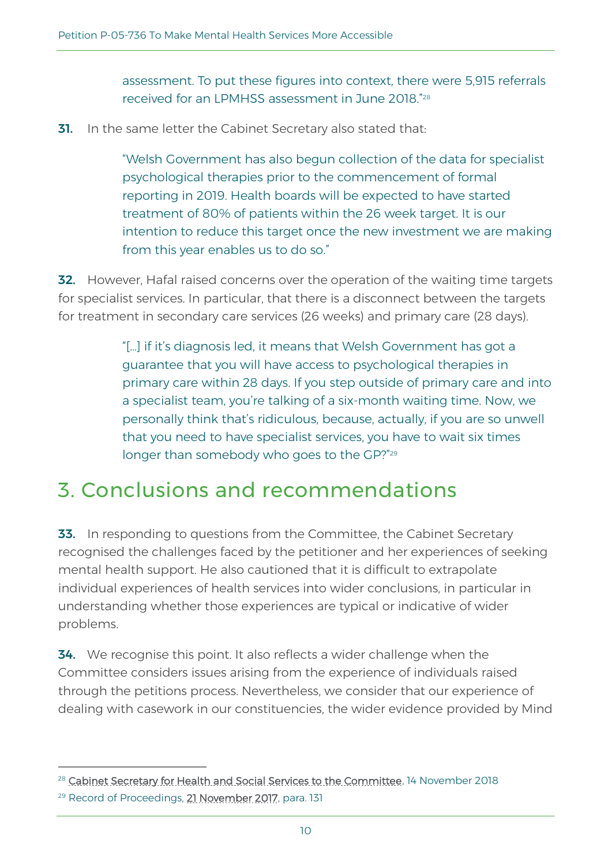assessment. To put these figures into context, there were 5,915 referrals received for an LPMHSS assessment in June 2018." 28

**31.** In the same letter the Cabinet Secretary also stated that:

"Welsh Government has also begun collection of the data for specialist psychological therapies prior to the commencement of formal reporting in 2019. Health boards will be expected to have started treatment of 80% of patients within the 26 week target. It is our intention to reduce this target once the new investment we are making from this year enables us to do so."

**32.** However, Hafal raised concerns over the operation of the waiting time targets for specialist services. In particular, that there is a disconnect between the targets for treatment in secondary care services (26 weeks) and primary care (28 days).

> "[…] if it's diagnosis led, it means that Welsh Government has got a guarantee that you will have access to psychological therapies in primary care within 28 days. If you step outside of primary care and into a specialist team, you're talking of a six-month waiting time. Now, we personally think that's ridiculous, because, actually, if you are so unwell that you need to have specialist services, you have to wait six times longer than somebody who goes to the GP?" 29

### 3. Conclusions and recommendations

**33.** In responding to questions from the Committee, the Cabinet Secretary recognised the challenges faced by the petitioner and her experiences of seeking mental health support. He also cautioned that it is difficult to extrapolate individual experiences of health services into wider conclusions, in particular in understanding whether those experiences are typical or indicative of wider problems.

**34.** We recognise this point. It also reflects a wider challenge when the Committee considers issues arising from the experience of individuals raised through the petitions process. Nevertheless, we consider that our experience of dealing with casework in our constituencies, the wider evidence provided by Mind

<sup>&</sup>lt;sup>28</sup> [Cabinet Secretary for Health and Social Services to the Committee,](http://www.senedd.assembly.wales/documents/s80928/14.11.18%20Correspondence%20-%20Cabinet%20Secretary%20for%20Health%20and%20Social%20Services%20to%20the%20Chair.pdf) 14 November 2018

<sup>&</sup>lt;sup>29</sup> Record of Proceedings, **21 November 2017**, para. 131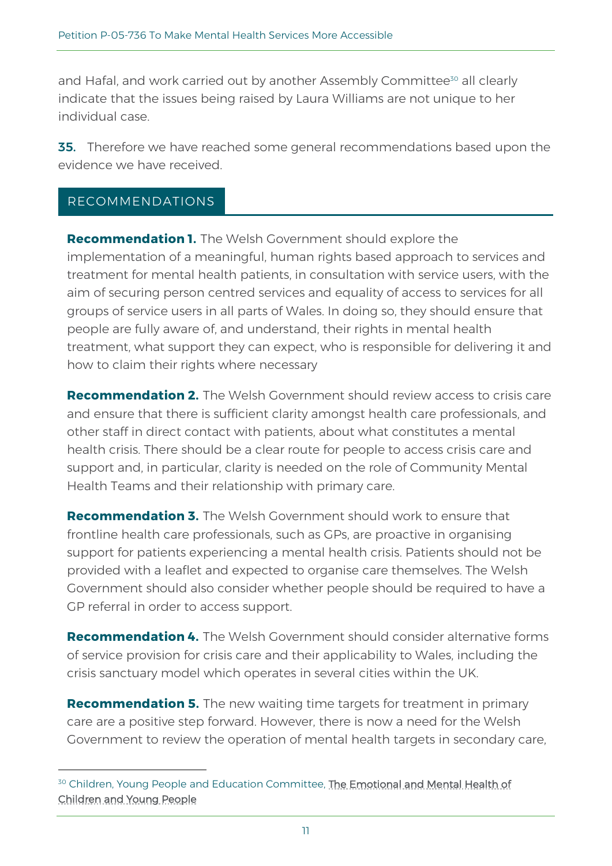and Hafal, and work carried out by another Assembly Committee<sup>30</sup> all clearly indicate that the issues being raised by Laura Williams are not unique to her individual case.

**35.** Therefore we have reached some general recommendations based upon the evidence we have received.

#### RECOMMENDATIONS

**Recommendation 1.** The Welsh Government should explore the implementation of a meaningful, human rights based approach to services and treatment for mental health patients, in consultation with service users, with the aim of securing person centred services and equality of access to services for all groups of service users in all parts of Wales. In doing so, they should ensure that people are fully aware of, and understand, their rights in mental health treatment, what support they can expect, who is responsible for delivering it and how to claim their rights where necessary

**Recommendation 2.** The Welsh Government should review access to crisis care and ensure that there is sufficient clarity amongst health care professionals, and other staff in direct contact with patients, about what constitutes a mental health crisis. There should be a clear route for people to access crisis care and support and, in particular, clarity is needed on the role of Community Mental Health Teams and their relationship with primary care.

**Recommendation 3.** The Welsh Government should work to ensure that frontline health care professionals, such as GPs, are proactive in organising support for patients experiencing a mental health crisis. Patients should not be provided with a leaflet and expected to organise care themselves. The Welsh Government should also consider whether people should be required to have a GP referral in order to access support.

**Recommendation 4.** The Welsh Government should consider alternative forms of service provision for crisis care and their applicability to Wales, including the crisis sanctuary model which operates in several cities within the UK.

**Recommendation 5.** The new waiting time targets for treatment in primary care are a positive step forward. However, there is now a need for the Welsh Government to review the operation of mental health targets in secondary care,

<sup>&</sup>lt;sup>30</sup> Children, Young People and Education Committee, The Emotional and Mental Health of [Children and Young People](http://senedd.assembly.wales/mgIssueHistoryHome.aspx?IId=25377)